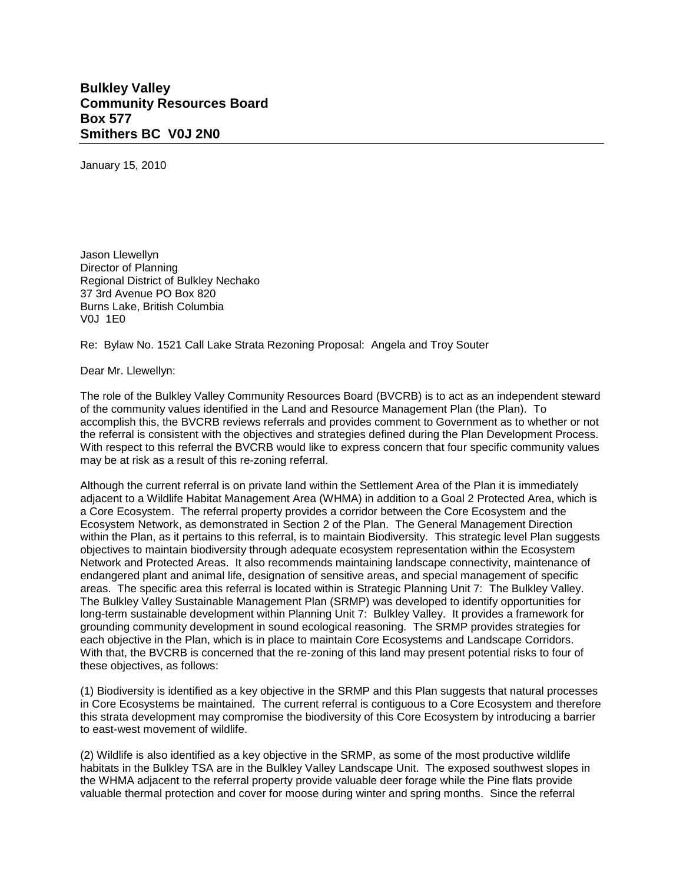## **Bulkley Valley Community Resources Board Box 577 Smithers BC V0J 2N0**

January 15, 2010

Jason Llewellyn Director of Planning Regional District of Bulkley Nechako 37 3rd Avenue PO Box 820 Burns Lake, British Columbia V0J 1E0

Re: Bylaw No. 1521 Call Lake Strata Rezoning Proposal: Angela and Troy Souter

Dear Mr. Llewellyn:

The role of the Bulkley Valley Community Resources Board (BVCRB) is to act as an independent steward of the community values identified in the Land and Resource Management Plan (the Plan). To accomplish this, the BVCRB reviews referrals and provides comment to Government as to whether or not the referral is consistent with the objectives and strategies defined during the Plan Development Process. With respect to this referral the BVCRB would like to express concern that four specific community values may be at risk as a result of this re-zoning referral.

Although the current referral is on private land within the Settlement Area of the Plan it is immediately adjacent to a Wildlife Habitat Management Area (WHMA) in addition to a Goal 2 Protected Area, which is a Core Ecosystem. The referral property provides a corridor between the Core Ecosystem and the Ecosystem Network, as demonstrated in Section 2 of the Plan. The General Management Direction within the Plan, as it pertains to this referral, is to maintain Biodiversity. This strategic level Plan suggests objectives to maintain biodiversity through adequate ecosystem representation within the Ecosystem Network and Protected Areas. It also recommends maintaining landscape connectivity, maintenance of endangered plant and animal life, designation of sensitive areas, and special management of specific areas. The specific area this referral is located within is Strategic Planning Unit 7: The Bulkley Valley. The Bulkley Valley Sustainable Management Plan (SRMP) was developed to identify opportunities for long-term sustainable development within Planning Unit 7: Bulkley Valley. It provides a framework for grounding community development in sound ecological reasoning. The SRMP provides strategies for each objective in the Plan, which is in place to maintain Core Ecosystems and Landscape Corridors. With that, the BVCRB is concerned that the re-zoning of this land may present potential risks to four of these objectives, as follows:

(1) Biodiversity is identified as a key objective in the SRMP and this Plan suggests that natural processes in Core Ecosystems be maintained. The current referral is contiguous to a Core Ecosystem and therefore this strata development may compromise the biodiversity of this Core Ecosystem by introducing a barrier to east-west movement of wildlife.

(2) Wildlife is also identified as a key objective in the SRMP, as some of the most productive wildlife habitats in the Bulkley TSA are in the Bulkley Valley Landscape Unit. The exposed southwest slopes in the WHMA adjacent to the referral property provide valuable deer forage while the Pine flats provide valuable thermal protection and cover for moose during winter and spring months. Since the referral